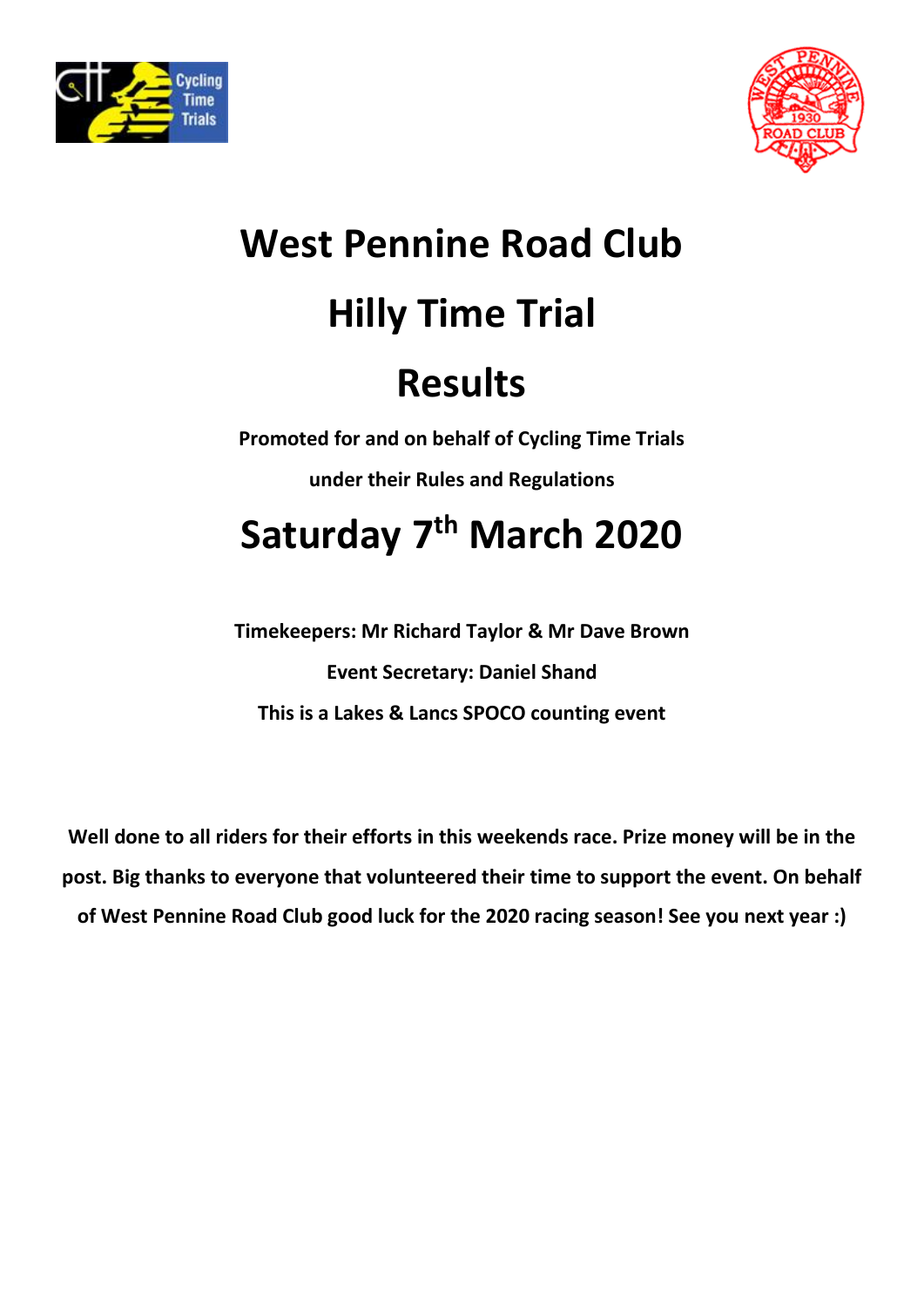



## **West Pennine Road Club Hilly Time Trial Results**

**Promoted for and on behalf of Cycling Time Trials under their Rules and Regulations**

## **Saturday 7 th March 2020**

**Timekeepers: Mr Richard Taylor & Mr Dave Brown Event Secretary: Daniel Shand This is a Lakes & Lancs SPOCO counting event**

**Well done to all riders for their efforts in this weekends race. Prize money will be in the post. Big thanks to everyone that volunteered their time to support the event. On behalf of West Pennine Road Club good luck for the 2020 racing season! See you next year :)**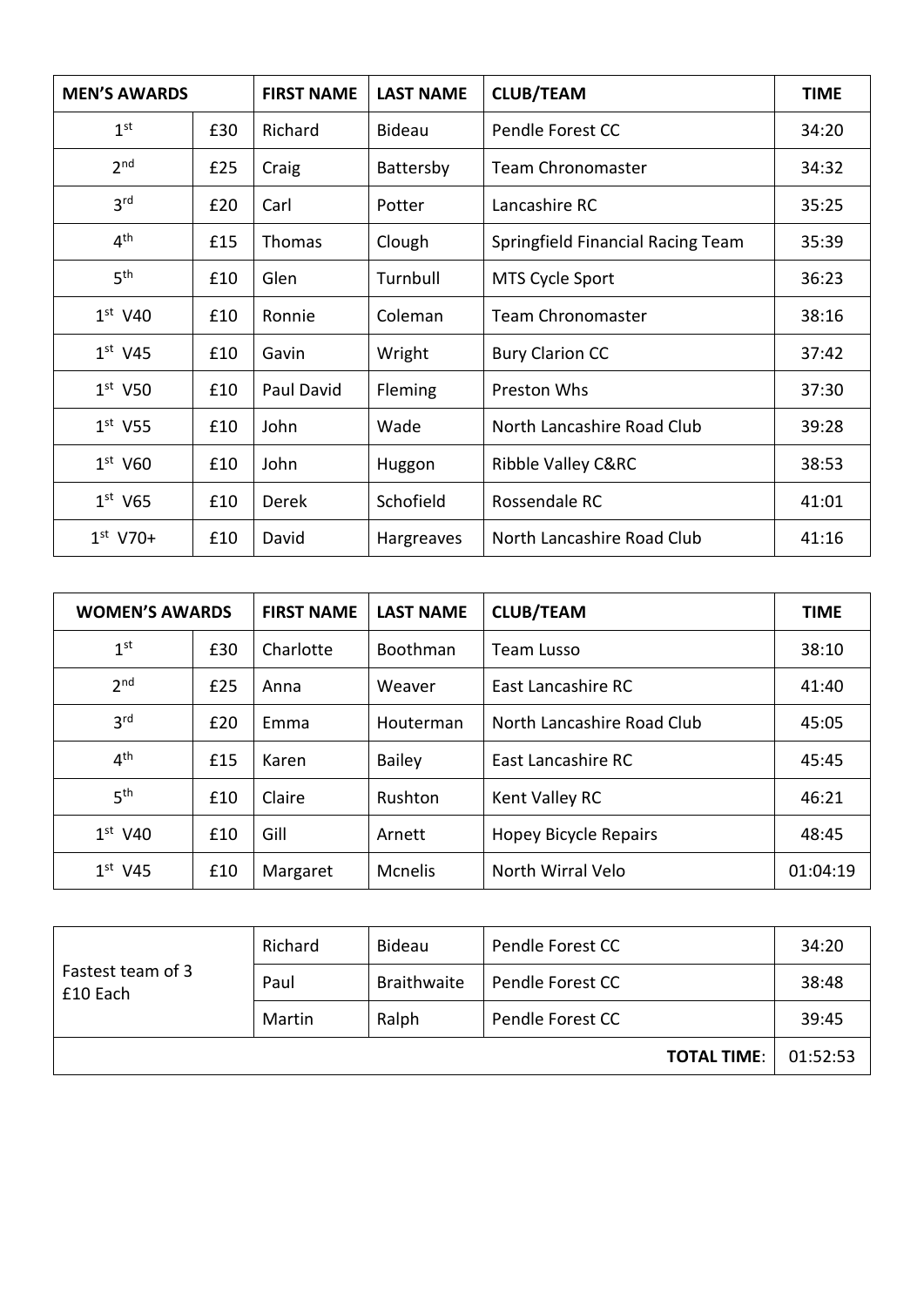| <b>MEN'S AWARDS</b> |     | <b>FIRST NAME</b> | <b>LAST NAME</b> | <b>CLUB/TEAM</b>                  | <b>TIME</b> |
|---------------------|-----|-------------------|------------------|-----------------------------------|-------------|
| 1 <sup>st</sup>     | £30 | Richard           | Bideau           | Pendle Forest CC                  | 34:20       |
| 2 <sub>nd</sub>     | £25 | Craig             | Battersby        | <b>Team Chronomaster</b>          | 34:32       |
| 3 <sup>rd</sup>     | £20 | Carl              | Potter           | Lancashire RC                     | 35:25       |
| 4 <sup>th</sup>     | £15 | Thomas            | Clough           | Springfield Financial Racing Team | 35:39       |
| 5 <sup>th</sup>     | £10 | Glen              | Turnbull         | MTS Cycle Sport                   | 36:23       |
| $1st$ V40           | £10 | Ronnie            | Coleman          | <b>Team Chronomaster</b>          | 38:16       |
| $1st$ V45           | £10 | Gavin             | Wright           | <b>Bury Clarion CC</b>            | 37:42       |
| $1st$ V50           | £10 | Paul David        | Fleming          | Preston Whs                       | 37:30       |
| $1st$ V55           | £10 | John              | Wade             | North Lancashire Road Club        | 39:28       |
| $1st$ V60           | £10 | John              | Huggon           | <b>Ribble Valley C&amp;RC</b>     | 38:53       |
| $1st$ V65           | £10 | Derek             | Schofield        | Rossendale RC                     | 41:01       |
| $1^{st}$ V70+       | £10 | David             | Hargreaves       | North Lancashire Road Club        | 41:16       |

| <b>WOMEN'S AWARDS</b> |     | <b>FIRST NAME</b> | <b>LAST NAME</b>             | <b>CLUB/TEAM</b>             | <b>TIME</b> |
|-----------------------|-----|-------------------|------------------------------|------------------------------|-------------|
| 1 <sup>st</sup>       | £30 | Charlotte         | <b>Boothman</b>              | <b>Team Lusso</b>            | 38:10       |
| 2 <sub>nd</sub>       | £25 | Anna              | East Lancashire RC<br>Weaver |                              | 41:40       |
| 3 <sup>rd</sup>       | £20 | Emma              | Houterman                    | North Lancashire Road Club   | 45:05       |
| 4 <sup>th</sup>       | £15 | Karen             | <b>Bailey</b>                | East Lancashire RC           | 45:45       |
| 5 <sup>th</sup>       | £10 | Claire            | Rushton                      | Kent Valley RC               | 46:21       |
| $1st$ V40             | £10 | Gill              | Arnett                       | <b>Hopey Bicycle Repairs</b> | 48:45       |
| $1st$ V45             | £10 | Margaret          | Mcnelis                      | North Wirral Velo            | 01:04:19    |

|                               | Richard | <b>Bideau</b> | Pendle Forest CC   | 34:20    |
|-------------------------------|---------|---------------|--------------------|----------|
| Fastest team of 3<br>£10 Each | Paul    | Braithwaite   | Pendle Forest CC   | 38:48    |
|                               | Martin  | Ralph         | Pendle Forest CC   | 39:45    |
|                               |         |               | <b>TOTAL TIME:</b> | 01:52:53 |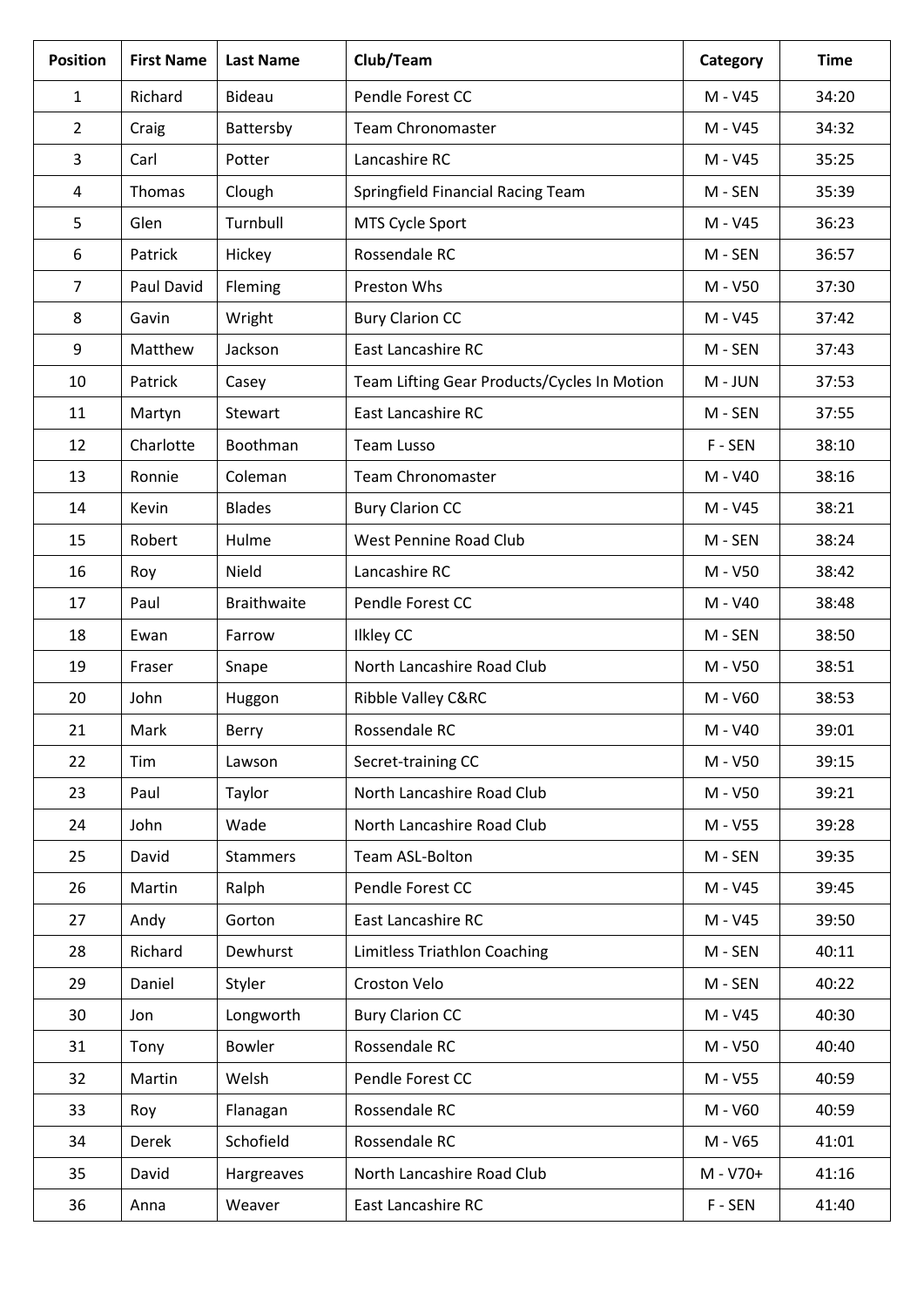| <b>Position</b> | <b>First Name</b> | <b>Last Name</b>   | Club/Team                                   | Category | <b>Time</b> |
|-----------------|-------------------|--------------------|---------------------------------------------|----------|-------------|
| $\mathbf{1}$    | Richard           | <b>Bideau</b>      | Pendle Forest CC                            | M - V45  | 34:20       |
| $\overline{2}$  | Craig             | Battersby          | <b>Team Chronomaster</b>                    | M - V45  | 34:32       |
| 3               | Carl              | Potter             | Lancashire RC                               | M - V45  | 35:25       |
| 4               | Thomas            | Clough             | Springfield Financial Racing Team           | M - SEN  | 35:39       |
| 5               | Glen              | Turnbull           | MTS Cycle Sport                             | M - V45  | 36:23       |
| 6               | Patrick           | Hickey             | Rossendale RC                               | M - SEN  | 36:57       |
| $\overline{7}$  | Paul David        | Fleming            | Preston Whs                                 | M - V50  | 37:30       |
| 8               | Gavin             | Wright             | <b>Bury Clarion CC</b>                      | M - V45  | 37:42       |
| 9               | Matthew           | Jackson            | East Lancashire RC                          | M - SEN  | 37:43       |
| 10              | Patrick           | Casey              | Team Lifting Gear Products/Cycles In Motion | M - JUN  | 37:53       |
| 11              | Martyn            | <b>Stewart</b>     | <b>East Lancashire RC</b>                   | M - SEN  | 37:55       |
| 12              | Charlotte         | Boothman           | <b>Team Lusso</b>                           | F-SEN    | 38:10       |
| 13              | Ronnie            | Coleman            | <b>Team Chronomaster</b>                    | M - V40  | 38:16       |
| 14              | Kevin             | <b>Blades</b>      | <b>Bury Clarion CC</b>                      | M - V45  | 38:21       |
| 15              | Robert            | Hulme              | <b>West Pennine Road Club</b>               | M - SEN  | 38:24       |
| 16              | Roy               | Nield              | Lancashire RC                               | M - V50  | 38:42       |
| 17              | Paul              | <b>Braithwaite</b> | Pendle Forest CC                            | M - V40  | 38:48       |
| 18              | Ewan              | Farrow             | <b>Ilkley CC</b>                            | M - SEN  | 38:50       |
| 19              | Fraser            | Snape              | North Lancashire Road Club                  | M - V50  | 38:51       |
| 20              | John              | Huggon             | Ribble Valley C&RC                          | M - V60  | 38:53       |
| 21              | Mark              | Berry              | Rossendale RC                               | M - V40  | 39:01       |
| 22              | Tim               | Lawson             | Secret-training CC                          | M - V50  | 39:15       |
| 23              | Paul              | Taylor             | North Lancashire Road Club                  | M - V50  | 39:21       |
| 24              | John              | Wade               | North Lancashire Road Club                  | M - V55  | 39:28       |
| 25              | David             | <b>Stammers</b>    | Team ASL-Bolton                             | M - SEN  | 39:35       |
| 26              | Martin            | Ralph              | Pendle Forest CC                            | M - V45  | 39:45       |
| 27              | Andy              | Gorton             | East Lancashire RC                          | M - V45  | 39:50       |
| 28              | Richard           | Dewhurst           | <b>Limitless Triathlon Coaching</b>         | M - SEN  | 40:11       |
| 29              | Daniel            | Styler             | Croston Velo                                | M - SEN  | 40:22       |
| 30              | Jon               | Longworth          | <b>Bury Clarion CC</b>                      | M - V45  | 40:30       |
| 31              | Tony              | Bowler             | Rossendale RC                               | M - V50  | 40:40       |
| 32              | Martin            | Welsh              | Pendle Forest CC                            | M - V55  | 40:59       |
| 33              | Roy               | Flanagan           | Rossendale RC                               | M - V60  | 40:59       |
| 34              | Derek             | Schofield          | Rossendale RC                               | M - V65  | 41:01       |
| 35              | David             | Hargreaves         | North Lancashire Road Club                  | M - V70+ | 41:16       |
| 36              | Anna              | Weaver             | East Lancashire RC                          | F-SEN    | 41:40       |